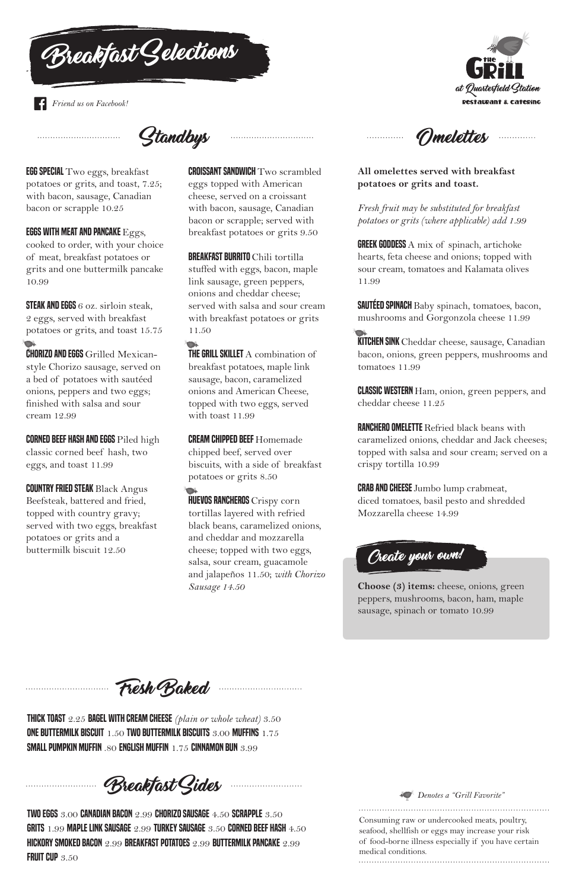EGG SPECIAL Two eggs, breakfast potatoes or grits, and toast, 7.25; with bacon, sausage, Canadian bacon or scrapple 10.25

EGGS WITH MEAT AND PANCAKE  $Eggs$ ,

STEAK AND EGGS 6 oz. sirloin steak. 2 eggs, served with breakfast potatoes or grits, and toast 15.75

cooked to order, with your choice of meat, breakfast potatoes or grits and one buttermilk pancake 10.99

**CORNED BEEF HASH AND EGGS** Piled high classic corned beef hash, two eggs, and toast 11.99

**COUNTRY FRIED STEAK Black Angus** Beefsteak, battered and fried, topped with country gravy; served with two eggs, breakfast potatoes or grits and a buttermilk biscuit 12.50

CHORIZO AND EGGS Grilled Mexicanstyle Chorizo sausage, served on a bed of potatoes with sautéed onions, peppers and two eggs; finished with salsa and sour cream 12.99

 $\Box$ **THE GRILL SKILLET** A combination of breakfast potatoes, maple link sausage, bacon, caramelized onions and American Cheese, topped with two eggs, served with toast 11.99

**HUEVOS RANCHEROS** Crispy corn tortillas layered with refried black beans, caramelized onions, and cheddar and mozzarella cheese; topped with two eggs, salsa, sour cream, guacamole and jalapeños 11.50; *with Chorizo Sausage 14.50*

CROISSANT SANDWICH Two scrambled eggs topped with American cheese, served on a croissant with bacon, sausage, Canadian bacon or scrapple; served with breakfast potatoes or grits 9.50

**GREEK GODDESS** A mix of spinach, artichoke hearts, feta cheese and onions; topped with sour cream, tomatoes and Kalamata olives 11.99

BREAKFAST BURRITO Chili tortilla stuffed with eggs, bacon, maple link sausage, green peppers, onions and cheddar cheese; served with salsa and sour cream with breakfast potatoes or grits 11.50

**KITCHEN SINK** Cheddar cheese, sausage, Canadian bacon, onions, green peppers, mushrooms and tomatoes 11.99

**CLASSIC WESTERN** Ham, onion, green peppers, and cheddar cheese 11.25

**CRAB AND CHEESE** Jumbo lump crabmeat, diced tomatoes, basil pesto and shredded Mozzarella cheese 14.99

Omelettes . . . . . . . . . . . . .

CREAM CHIPPED BEEF Homemade chipped beef, served over biscuits, with a side of breakfast potatoes or grits 8.50

TWO EGGS 3.00 CANADIAN BACON 2.99 CHORIZO SAUSAGE 4.50 SCRAPPLE 3.50 GRITS 1.99 MAPLE LINK SAUSAGE 2.99 TURKEY SAUSAGE 3.50 CORNED BEEF HASH 4.50 HICKORY SMOKED BACON 2.99 BREAKFAST POTATOES 2.99 BUTTERMILK PANCAKE 2.99 FRUIT CUP 3.50

Standbys



**All omelettes served with breakfast potatoes or grits and toast.**

*Fresh fruit may be substituted for breakfast potatoes or grits (where applicable) add 1.99*

SAUTÉED SPINACH Baby spinach, tomatoes, bacon, mushrooms and Gorgonzola cheese 11.99

RANCHERO OMELETTE Refried black beans with caramelized onions, cheddar and Jack cheeses; topped with salsa and sour cream; served on a crispy tortilla 10.99

**Choose (3) items:** cheese, onions, green peppers, mushrooms, bacon, ham, maple sausage, spinach or tomato 10.99

THICK TOAST 2.25 BAGEL WITH CREAM CHEESE *(plain or whole wheat)* 3.50 ONE BUTTERMILK BISCUIT 1.50 TWO BUTTERMILK BISCUITS 3.00 MUFFINS 1.75 SMALL PUMPKIN MUFFIN .80 ENGLISH MUFFIN 1.75 CINNAMON BUN 3.99

Breakfast Sides



Breakfast Gelections

*Friend us on Facebook!*



Consuming raw or undercooked meats, poultry, seafood, shellfish or eggs may increase your risk of food-borne illness especially if you have certain medical conditions.